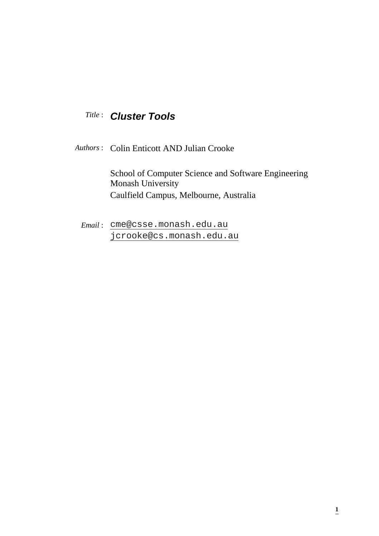# *Title* : **Cluster Tools**

*Authors* : Colin Enticott AND Julian Crooke

School of Computer Science and Software Engineering Monash University Caulfield Campus, Melbourne, Australia

*Email* : cme@csse.monash.edu.au jcrooke@cs.monash.edu.au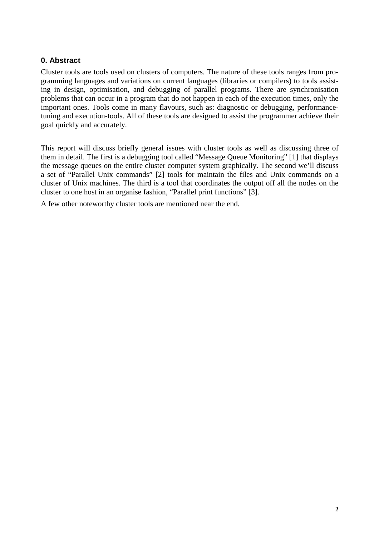# **0. Abstract**

Cluster tools are tools used on clusters of computers. The nature of these tools ranges from programming languages and variations on current languages (libraries or compilers) to tools assisting in design, optimisation, and debugging of parallel programs. There are synchronisation problems that can occur in a program that do not happen in each of the execution times, only the important ones. Tools come in many flavours, such as: diagnostic or debugging, performancetuning and execution-tools. All of these tools are designed to assist the programmer achieve their goal quickly and accurately.

This report will discuss briefly general issues with cluster tools as well as discussing three of them in detail. The first is a debugging tool called "Message Queue Monitoring" [1] that displays the message queues on the entire cluster computer system graphically. The second we'll discuss a set of "Parallel Unix commands" [2] tools for maintain the files and Unix commands on a cluster of Unix machines. The third is a tool that coordinates the output off all the nodes on the cluster to one host in an organise fashion, "Parallel print functions" [3].

A few other noteworthy cluster tools are mentioned near the end.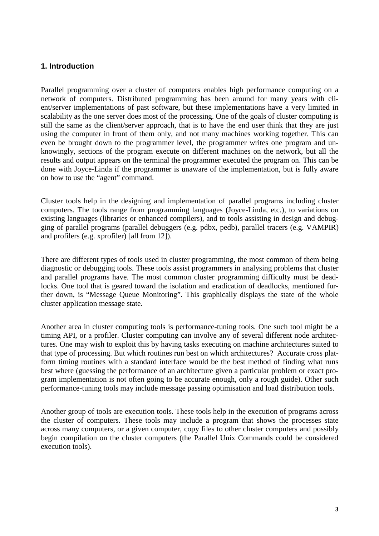# **1. Introduction**

Parallel programming over a cluster of computers enables high performance computing on a network of computers. Distributed programming has been around for many years with client/server implementations of past software, but these implementations have a very limited in scalability as the one server does most of the processing. One of the goals of cluster computing is still the same as the client/server approach, that is to have the end user think that they are just using the computer in front of them only, and not many machines working together. This can even be brought down to the programmer level, the programmer writes one program and unknowingly, sections of the program execute on different machines on the network, but all the results and output appears on the terminal the programmer executed the program on. This can be done with Joyce-Linda if the programmer is unaware of the implementation, but is fully aware on how to use the "agent" command.

Cluster tools help in the designing and implementation of parallel programs including cluster computers. The tools range from programming languages (Joyce-Linda, etc.), to variations on existing languages (libraries or enhanced compilers), and to tools assisting in design and debugging of parallel programs (parallel debuggers (e.g. pdbx, pedb), parallel tracers (e.g. VAMPIR) and profilers (e.g. xprofiler) [all from 12]).

There are different types of tools used in cluster programming, the most common of them being diagnostic or debugging tools. These tools assist programmers in analysing problems that cluster and parallel programs have. The most common cluster programming difficulty must be deadlocks. One tool that is geared toward the isolation and eradication of deadlocks, mentioned further down, is "Message Queue Monitoring". This graphically displays the state of the whole cluster application message state.

Another area in cluster computing tools is performance-tuning tools. One such tool might be a timing API, or a profiler. Cluster computing can involve any of several different node architectures. One may wish to exploit this by having tasks executing on machine architectures suited to that type of processing. But which routines run best on which architectures? Accurate cross platform timing routines with a standard interface would be the best method of finding what runs best where (guessing the performance of an architecture given a particular problem or exact program implementation is not often going to be accurate enough, only a rough guide). Other such performance-tuning tools may include message passing optimisation and load distribution tools.

Another group of tools are execution tools. These tools help in the execution of programs across the cluster of computers. These tools may include a program that shows the processes state across many computers, or a given computer, copy files to other cluster computers and possibly begin compilation on the cluster computers (the Parallel Unix Commands could be considered execution tools).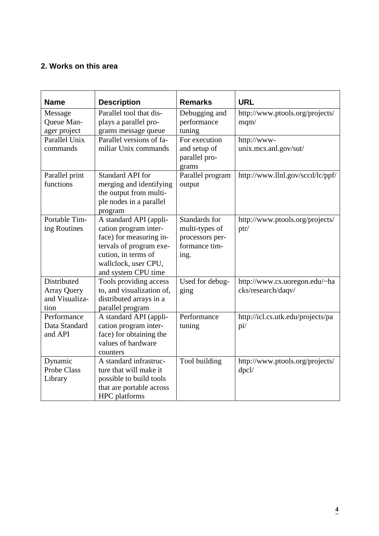# **2. Works on this area**

| <b>Name</b>                   | <b>Description</b>                              | <b>Remarks</b>                | <b>URL</b>                        |
|-------------------------------|-------------------------------------------------|-------------------------------|-----------------------------------|
| Message                       | Parallel tool that dis-                         | Debugging and                 | http://www.ptools.org/projects/   |
| Queue Man-                    | plays a parallel pro-                           | performance                   | mqm/                              |
| ager project<br>Parallel Unix | grams message queue<br>Parallel versions of fa- | tuning<br>For execution       |                                   |
| commands                      | miliar Unix commands                            |                               | http://www-                       |
|                               |                                                 | and setup of<br>parallel pro- | unix.mcs.anl.gov/sut/             |
|                               |                                                 | grams                         |                                   |
| Parallel print                | <b>Standard API for</b>                         | Parallel program              | http://www.llnl.gov/sccd/lc/ppf/  |
| functions                     | merging and identifying                         | output                        |                                   |
|                               | the output from multi-                          |                               |                                   |
|                               | ple nodes in a parallel                         |                               |                                   |
|                               | program                                         |                               |                                   |
| Portable Tim-                 | A standard API (appli-                          | Standards for                 | http://www.ptools.org/projects/   |
| ing Routines                  | cation program inter-                           | multi-types of                | ptr/                              |
|                               | face) for measuring in-                         | processors per-               |                                   |
|                               | tervals of program exe-                         | formance tim-                 |                                   |
|                               | cution, in terms of                             | ing.                          |                                   |
|                               | wallclock, user CPU,                            |                               |                                   |
|                               | and system CPU time                             |                               |                                   |
| Distributed                   | Tools providing access                          | Used for debug-               | http://www.cs.uoregon.edu/~ha     |
| <b>Array Query</b>            | to, and visualization of,                       | ging                          | cks/research/daqv/                |
| and Visualiza-                | distributed arrays in a                         |                               |                                   |
| tion                          | parallel program                                |                               |                                   |
| Performance                   | A standard API (appli-                          | Performance                   | http://icl.cs.utk.edu/projects/pa |
| Data Standard<br>and API      | cation program inter-                           | tuning                        | pi/                               |
|                               | face) for obtaining the<br>values of hardware   |                               |                                   |
|                               | counters                                        |                               |                                   |
| Dynamic                       | A standard infrastruc-                          | Tool building                 | http://www.ptools.org/projects/   |
| <b>Probe Class</b>            | ture that will make it                          |                               | dpcl/                             |
| Library                       | possible to build tools                         |                               |                                   |
|                               | that are portable across                        |                               |                                   |
|                               | <b>HPC</b> platforms                            |                               |                                   |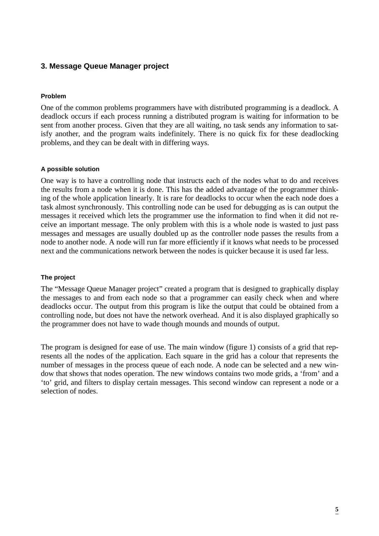# **3. Message Queue Manager project**

## **Problem**

One of the common problems programmers have with distributed programming is a deadlock. A deadlock occurs if each process running a distributed program is waiting for information to be sent from another process. Given that they are all waiting, no task sends any information to satisfy another, and the program waits indefinitely. There is no quick fix for these deadlocking problems, and they can be dealt with in differing ways.

## **A possible solution**

One way is to have a controlling node that instructs each of the nodes what to do and receives the results from a node when it is done. This has the added advantage of the programmer thinking of the whole application linearly. It is rare for deadlocks to occur when the each node does a task almost synchronously. This controlling node can be used for debugging as is can output the messages it received which lets the programmer use the information to find when it did not receive an important message. The only problem with this is a whole node is wasted to just pass messages and messages are usually doubled up as the controller node passes the results from a node to another node. A node will run far more efficiently if it knows what needs to be processed next and the communications network between the nodes is quicker because it is used far less.

#### **The project**

The "Message Queue Manager project" created a program that is designed to graphically display the messages to and from each node so that a programmer can easily check when and where deadlocks occur. The output from this program is like the output that could be obtained from a controlling node, but does not have the network overhead. And it is also displayed graphically so the programmer does not have to wade though mounds and mounds of output.

The program is designed for ease of use. The main window (figure 1) consists of a grid that represents all the nodes of the application. Each square in the grid has a colour that represents the number of messages in the process queue of each node. A node can be selected and a new window that shows that nodes operation. The new windows contains two mode grids, a 'from' and a 'to' grid, and filters to display certain messages. This second window can represent a node or a selection of nodes.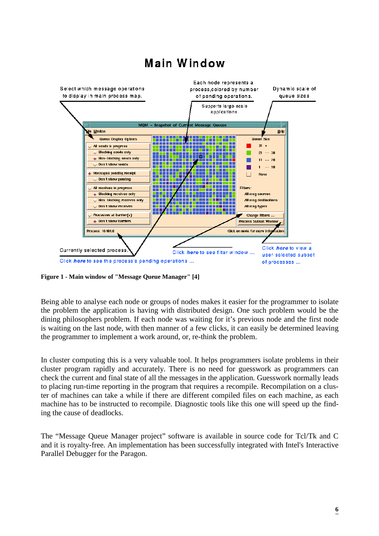

# Main Window

**Figure 1 - Main window of "Message Queue Manager" [4]**

Being able to analyse each node or groups of nodes makes it easier for the programmer to isolate the problem the application is having with distributed design. One such problem would be the dining philosophers problem. If each node was waiting for it's previous node and the first node is waiting on the last node, with then manner of a few clicks, it can easily be determined leaving the programmer to implement a work around, or, re-think the problem.

In cluster computing this is a very valuable tool. It helps programmers isolate problems in their cluster program rapidly and accurately. There is no need for guesswork as programmers can check the current and final state of all the messages in the application. Guesswork normally leads to placing run-time reporting in the program that requires a recompile. Recompilation on a cluster of machines can take a while if there are different compiled files on each machine, as each machine has to be instructed to recompile. Diagnostic tools like this one will speed up the finding the cause of deadlocks.

The "Message Queue Manager project" software is available in source code for Tcl/Tk and C and it is royalty-free. An implementation has been successfully integrated with Intel's Interactive Parallel Debugger for the Paragon.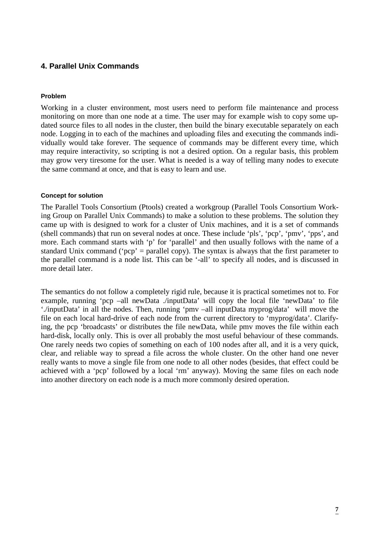# **4. Parallel Unix Commands**

## **Problem**

Working in a cluster environment, most users need to perform file maintenance and process monitoring on more than one node at a time. The user may for example wish to copy some updated source files to all nodes in the cluster, then build the binary executable separately on each node. Logging in to each of the machines and uploading files and executing the commands individually would take forever. The sequence of commands may be different every time, which may require interactivity, so scripting is not a desired option. On a regular basis, this problem may grow very tiresome for the user. What is needed is a way of telling many nodes to execute the same command at once, and that is easy to learn and use.

## **Concept for solution**

The Parallel Tools Consortium (Ptools) created a workgroup (Parallel Tools Consortium Working Group on Parallel Unix Commands) to make a solution to these problems. The solution they came up with is designed to work for a cluster of Unix machines, and it is a set of commands (shell commands) that run on several nodes at once. These include 'pls', 'pcp', 'pmv', 'pps', and more. Each command starts with 'p' for 'parallel' and then usually follows with the name of a standard Unix command ('pcp' = parallel copy). The syntax is always that the first parameter to the parallel command is a node list. This can be '-all' to specify all nodes, and is discussed in more detail later.

The semantics do not follow a completely rigid rule, because it is practical sometimes not to. For example, running 'pcp –all newData ./inputData' will copy the local file 'newData' to file './inputData' in all the nodes. Then, running 'pmv –all inputData myprog/data' will move the file on each local hard-drive of each node from the current directory to 'myprog/data'. Clarifying, the pcp 'broadcasts' or distributes the file newData, while pmv moves the file within each hard-disk, locally only. This is over all probably the most useful behaviour of these commands. One rarely needs two copies of something on each of 100 nodes after all, and it is a very quick, clear, and reliable way to spread a file across the whole cluster. On the other hand one never really wants to move a single file from one node to all other nodes (besides, that effect could be achieved with a 'pcp' followed by a local 'rm' anyway). Moving the same files on each node into another directory on each node is a much more commonly desired operation.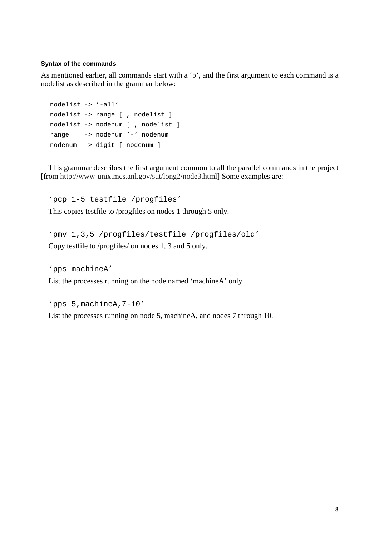#### **Syntax of the commands**

As mentioned earlier, all commands start with a 'p', and the first argument to each command is a nodelist as described in the grammar below:

```
nodelist -> '-all'
nodelist -> range [ , nodelist ]
nodelist -> nodenum [ , nodelist ]
range -> nodenum '-' nodenum
nodenum -> digit [ nodenum ]
```
This grammar describes the first argument common to all the parallel commands in the project [from http://www-unix.mcs.anl.gov/sut/long2/node3.html] Some examples are:

'pcp 1-5 testfile /progfiles' This copies testfile to /progfiles on nodes 1 through 5 only.

'pmv 1,3,5 /progfiles/testfile /progfiles/old' Copy testfile to /progfiles/ on nodes 1, 3 and 5 only.

'pps machineA'

List the processes running on the node named 'machineA' only.

```
'pps 5,machineA,7-10'
List the processes running on node 5, machineA, and nodes 7 through 10.
```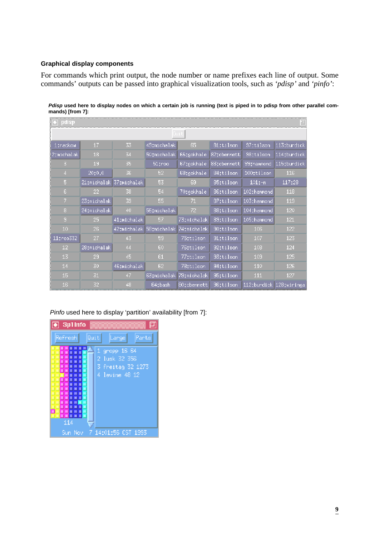## **Graphical display components**

For commands which print output, the node number or name prefixes each line of output. Some commands' outputs can be passed into graphical visualization tools, such as *'pdisp'* and *'pinfo'*:

| 1:rackow        | 17          | 33                      | 49:michalak | 65.           | 81:tilson   | 97:tilson    | 113;burdick             |  |
|-----------------|-------------|-------------------------|-------------|---------------|-------------|--------------|-------------------------|--|
| 2:michalak      | 18          | 34                      | 50;michalak | 66;gokhale    | 82;cbennett | 98;tilson    | $114$ ; burdick         |  |
| 3               | 19          | 35                      | 51troo      | 67;gokhale    | 83:cbennett | 99: hammond  | 115:burdick             |  |
| 4               | 20;0,0      | 36                      | 52          | $68;$ gokhale | 84:tilson   | 100:tilson   | 116                     |  |
| 5               |             | 21:michalak 37:michalak | 53          | 69            | 85:tilson   | $101:-n$     | 117:28                  |  |
| 6.              | 22.         | 38.                     | 54          | 70:gokhale    | 86:tilson   | 102:hammond  | 118                     |  |
| 7               | 23:michalak | 39                      | 55.         | 71.           | 87:tilson   | 103: hammond | 119                     |  |
| 8               | 24:michalak | 40                      | 56;michalak | 72            | 88:tilson   | 104: hammond | 120                     |  |
| 9               | 25.         | 41;michalak             | 57          | 73;michalak   | 89;tilson   | 105; hammond | 121                     |  |
| 10              | 26          | 42:michalak             | 58:michalak | 74;michalak   | 90;tilson   | 106          | 122                     |  |
| 11:roo332       | 27          | 43                      | 59          | 75:tilson     | 91:tilson   | 107          | 123                     |  |
| 12 <sub>1</sub> | 28:michalak | 44                      | 60          | 76:tilson     | 92:tilson   | 108          | 124                     |  |
| 13              | 29          | 45                      | 61          | 77:tilson     | 93:tilson   | 109          | 125                     |  |
| 14              | 30          | 46tmichalak             | 62          | 78:tilson     | 94:tilson   | 110          | 126                     |  |
| 15              | 31          | 47                      | 63:michalak | 79:michalak   | 95;tilson   | 111          | 127                     |  |
| 16              | 32          | 48                      | 64:bash     | 80:cbennett   | 96;tilson   |              | 112:burdick 128:wiringa |  |

**Pdisp used here to display nodes on which a certain job is running (text is piped in to pdisp from other parallel commands) [from 7]:**

Pinfo used here to display 'partition' availability [from 7]:

| Sp1Info<br>$\bullet$                                                                                                                                                                                                                                                                                                                                                                                |                                                                          |  |  |  |  |  |
|-----------------------------------------------------------------------------------------------------------------------------------------------------------------------------------------------------------------------------------------------------------------------------------------------------------------------------------------------------------------------------------------------------|--------------------------------------------------------------------------|--|--|--|--|--|
| Refneshl<br>Quit<br>Parts<br>Large                                                                                                                                                                                                                                                                                                                                                                  |                                                                          |  |  |  |  |  |
| 薬薬薬薬<br>靈藥<br><b>B 36 36 36</b><br>※ ※<br>※※※※※■<br>瀉<br>-81<br>×<br>※ ※<br>ж.<br>▩<br>第第第第第 <mark>第</mark><br>簽<br>燚<br>怒<br>×<br>叕<br>叕<br>※ ※ ※<br>滿<br>图案<br>猨<br>涎<br>簽<br>燚<br>₩<br>×.<br>※※※※<br>R<br>※1<br>♦<br>※ ※ ※<br>燚<br>ж<br>露<br>第第第<br>靈<br>殩<br><b>B 30 B 30 A B</b><br>×<br>×<br><b>38 38 38 38 39</b><br>黨<br>* * * * * *<br>窩<br>※ ※ ※ ※ ※<br>獵<br><b>B 38 B 38 B 38</b><br>114 | gropp 16_64<br>Q<br>2 Tusk 32 356<br>3 freitag 32 1273<br>4 levine 48 12 |  |  |  |  |  |
| Sun Nov                                                                                                                                                                                                                                                                                                                                                                                             | 14:01:56 CST 1993                                                        |  |  |  |  |  |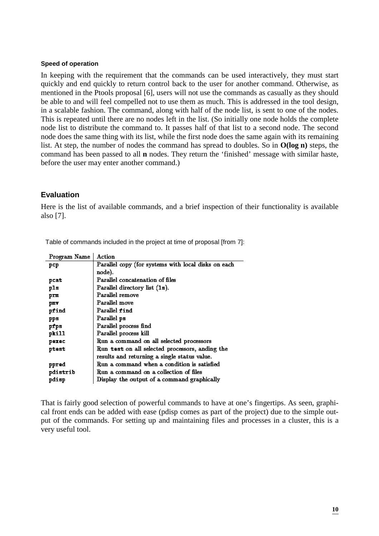#### **Speed of operation**

In keeping with the requirement that the commands can be used interactively, they must start quickly and end quickly to return control back to the user for another command. Otherwise, as mentioned in the Ptools proposal [6], users will not use the commands as casually as they should be able to and will feel compelled not to use them as much. This is addressed in the tool design, in a scalable fashion. The command, along with half of the node list, is sent to one of the nodes. This is repeated until there are no nodes left in the list. (So initially one node holds the complete node list to distribute the command to. It passes half of that list to a second node. The second node does the same thing with its list, while the first node does the same again with its remaining list. At step, the number of nodes the command has spread to doubles. So in **O(log n)** steps, the command has been passed to all **n** nodes. They return the 'finished' message with similar haste, before the user may enter another command.)

# **Evaluation**

Here is the list of available commands, and a brief inspection of their functionality is available also [7].

| Program Name | Action                                              |  |
|--------------|-----------------------------------------------------|--|
| pcp          | Parallel copy (for systems with local disks on each |  |
|              | node).                                              |  |
| pcat         | Parallel concatenation of files                     |  |
| p1s          | Parallel directory list (1s).                       |  |
| prm          | Parallel remove                                     |  |
| ршт          | Parallel move                                       |  |
| pfind        | Parallel find                                       |  |
| pps          | Parallel ps                                         |  |
| pfps         | Parallel process find                               |  |
| pki11        | Parallel process kill                               |  |
| pazac        | Run a command on all selected processors            |  |
| ptest        | Run test on all selected processors, anding the     |  |
|              | results and returning a single status value.        |  |
| ppred        | Run a command when a condition is satisfied         |  |
| pdistrib     | Run a command on a collection of files              |  |
| pdisp        | Display the output of a command graphically         |  |

Table of commands included in the project at time of proposal [from 7]:

That is fairly good selection of powerful commands to have at one's fingertips. As seen, graphical front ends can be added with ease (pdisp comes as part of the project) due to the simple output of the commands. For setting up and maintaining files and processes in a cluster, this is a very useful tool.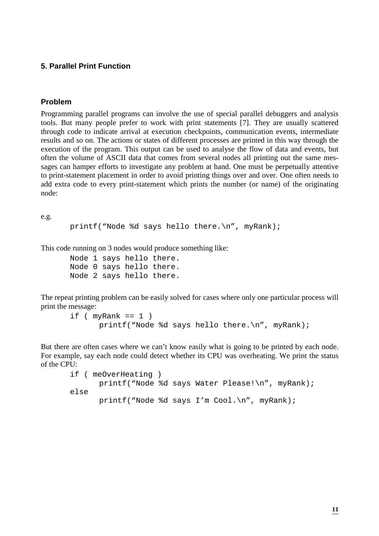## **5. Parallel Print Function**

## **Problem**

Programming parallel programs can involve the use of special parallel debuggers and analysis tools. But many people prefer to work with print statements [7]. They are usually scattered through code to indicate arrival at execution checkpoints, communication events, intermediate results and so on. The actions or states of different processes are printed in this way through the execution of the program. This output can be used to analyse the flow of data and events, but often the volume of ASCII data that comes from several nodes all printing out the same messages can hamper efforts to investigate any problem at hand. One must be perpetually attentive to print-statement placement in order to avoid printing things over and over. One often needs to add extra code to every print-statement which prints the number (or name) of the originating node:

e.g.

```
printf("Node %d says hello there.\n", myRank);
```
This code running on 3 nodes would produce something like:

Node 1 says hello there. Node 0 says hello there. Node 2 says hello there.

The repeat printing problem can be easily solved for cases where only one particular process will print the message:

```
if (myRank == 1)printf("Node %d says hello there.\n", myRank);
```
But there are often cases where we can't know easily what is going to be printed by each node. For example, say each node could detect whether its CPU was overheating. We print the status of the CPU:

```
if ( meOverHeating )
      printf("Node %d says Water Please!\n", myRank);
else
      printf("Node %d says I'm Cool.\n", myRank);
```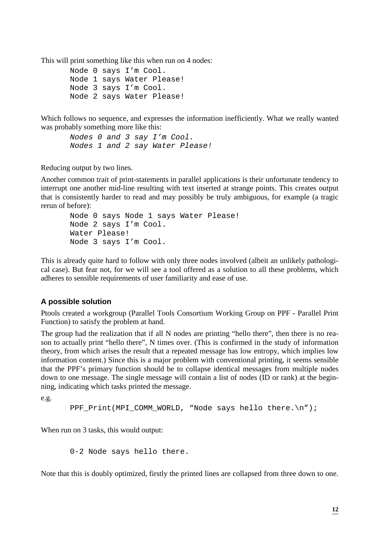This will print something like this when run on 4 nodes:

Node 0 says I'm Cool. Node 1 says Water Please! Node 3 says I'm Cool. Node 2 says Water Please!

Which follows no sequence, and expresses the information inefficiently. What we really wanted was probably something more like this:

Nodes 0 and 3 say I'm Cool. Nodes 1 and 2 say Water Please!

Reducing output by two lines.

Another common trait of print-statements in parallel applications is their unfortunate tendency to interrupt one another mid-line resulting with text inserted at strange points. This creates output that is consistently harder to read and may possibly be truly ambiguous, for example (a tragic rerun of before):

Node 0 says Node 1 says Water Please! Node 2 says I'm Cool. Water Please! Node 3 says I'm Cool.

This is already quite hard to follow with only three nodes involved (albeit an unlikely pathological case). But fear not, for we will see a tool offered as a solution to all these problems, which adheres to sensible requirements of user familiarity and ease of use.

# **A possible solution**

Ptools created a workgroup (Parallel Tools Consortium Working Group on PPF - Parallel Print Function) to satisfy the problem at hand.

The group had the realization that if all N nodes are printing "hello there", then there is no reason to actually print "hello there", N times over. (This is confirmed in the study of information theory, from which arises the result that a repeated message has low entropy, which implies low information content.) Since this is a major problem with conventional printing, it seems sensible that the PPF's primary function should be to collapse identical messages from multiple nodes down to one message. The single message will contain a list of nodes (ID or rank) at the beginning, indicating which tasks printed the message.

e.g.

```
PPF_Print(MPI_COMM_WORLD, "Node says hello there.\n");
```
When run on 3 tasks, this would output:

0-2 Node says hello there.

Note that this is doubly optimized, firstly the printed lines are collapsed from three down to one.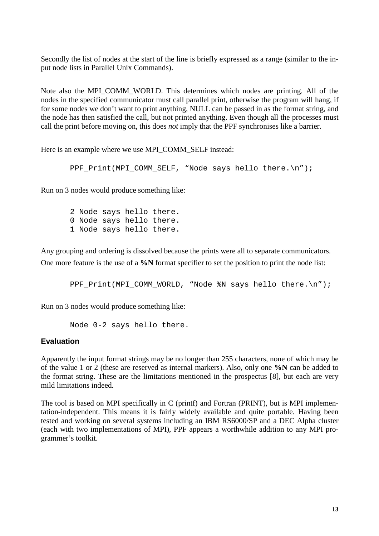Secondly the list of nodes at the start of the line is briefly expressed as a range (similar to the input node lists in Parallel Unix Commands).

Note also the MPI\_COMM\_WORLD. This determines which nodes are printing. All of the nodes in the specified communicator must call parallel print, otherwise the program will hang, if for some nodes we don't want to print anything, NULL can be passed in as the format string, and the node has then satisfied the call, but not printed anything. Even though all the processes must call the print before moving on, this does *not* imply that the PPF synchronises like a barrier.

Here is an example where we use MPI\_COMM\_SELF instead:

```
PPF Print(MPI COMM SELF, "Node says hello there.\n \n \begin{bmatrix}\n n' \\
 n''\n \end{bmatrix};
```
Run on 3 nodes would produce something like:

2 Node says hello there. 0 Node says hello there. 1 Node says hello there.

Any grouping and ordering is dissolved because the prints were all to separate communicators. One more feature is the use of a **%N** format specifier to set the position to print the node list:

PPF\_Print(MPI\_COMM\_WORLD, "Node %N says hello there.\n");

Run on 3 nodes would produce something like:

Node 0-2 says hello there.

## **Evaluation**

Apparently the input format strings may be no longer than 255 characters, none of which may be of the value 1 or 2 (these are reserved as internal markers). Also, only one **%N** can be added to the format string. These are the limitations mentioned in the prospectus [8], but each are very mild limitations indeed.

The tool is based on MPI specifically in C (printf) and Fortran (PRINT), but is MPI implementation-independent. This means it is fairly widely available and quite portable. Having been tested and working on several systems including an IBM RS6000/SP and a DEC Alpha cluster (each with two implementations of MPI), PPF appears a worthwhile addition to any MPI programmer's toolkit.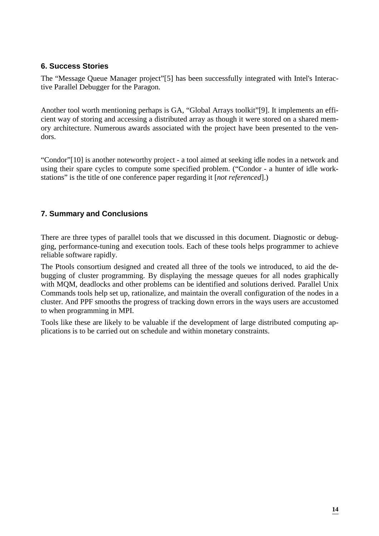# **6. Success Stories**

The "Message Queue Manager project"[5] has been successfully integrated with Intel's Interactive Parallel Debugger for the Paragon.

Another tool worth mentioning perhaps is GA, "Global Arrays toolkit"[9]. It implements an efficient way of storing and accessing a distributed array as though it were stored on a shared memory architecture. Numerous awards associated with the project have been presented to the vendors.

"Condor"[10] is another noteworthy project - a tool aimed at seeking idle nodes in a network and using their spare cycles to compute some specified problem. ("Condor - a hunter of idle workstations" is the title of one conference paper regarding it [*not referenced*].)

# **7. Summary and Conclusions**

There are three types of parallel tools that we discussed in this document. Diagnostic or debugging, performance-tuning and execution tools. Each of these tools helps programmer to achieve reliable software rapidly.

The Ptools consortium designed and created all three of the tools we introduced, to aid the debugging of cluster programming. By displaying the message queues for all nodes graphically with MQM, deadlocks and other problems can be identified and solutions derived. Parallel Unix Commands tools help set up, rationalize, and maintain the overall configuration of the nodes in a cluster. And PPF smooths the progress of tracking down errors in the ways users are accustomed to when programming in MPI.

Tools like these are likely to be valuable if the development of large distributed computing applications is to be carried out on schedule and within monetary constraints.